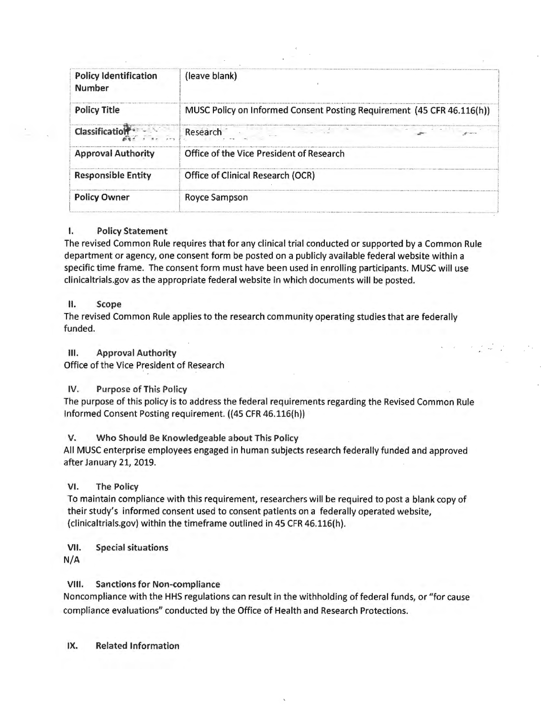| <b>Policy Identification</b><br><b>Number</b> | (leave blank)                                                          |  |
|-----------------------------------------------|------------------------------------------------------------------------|--|
| <b>Policy Title</b>                           | MUSC Policy on Informed Consent Posting Requirement (45 CFR 46.116(h)) |  |
| <b>Classification</b>                         | Research                                                               |  |
| <b>Approval Authority</b>                     | Office of the Vice President of Research                               |  |
| <b>Responsible Entity</b>                     | Office of Clinical Research (OCR)                                      |  |
| <b>Policy Owner</b>                           | Royce Sampson                                                          |  |

## I. **Policy Statement**

The revised Common Rule requires that for any clinical trial conducted or supported by a Common Rule department or agency, one consent form be posted on a publicly available federal website within a specific time frame. The consent form must have been used in enrolling participants. MUSC will use clinicaltrials .gov as the appropriate federal website in which documents will be posted .

### II. **Scope**

The revised Common Rule applies to the research community operating studies that are federally funded.

**III.** Approval Authority

Office of the Vice President of Research

# IV. Purpose of This Policy

The purpose of this policy is to address the federal requirements regarding the Revised Common Rule Informed Consent Posting requirement. ((45 CFR46.116(h))

**V. W ho Should Be Knowledgeable about This Policy** 

All MUSC enterprise employees engaged in human subjects research federally funded and approved after January 21, 2019.

# **VI. The Policy**

To maintain compliance with this requirement, researchers will be required to post a blank copy of their study's informed consent used to consent patients on a federally operated website, ([clinicaltrials.gov](https://clinicaltrials.gov)) within the timeframe outlined in 45 CFR 46.116(h).

**VII.** Special situations **N/A** 

**VIII.** Sanctions for Non-compliance

Noncompliance with the HHS regulations can result in the withholding of federal funds, or "for cause compliance evaluations" conducted by the Office of Health and Research Protections.

**IX.** Related Information